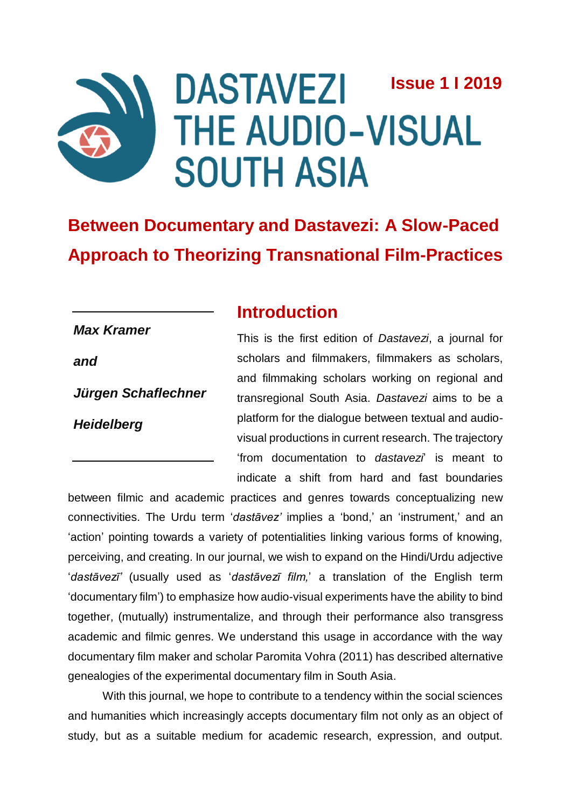# **DASTAVEZI Issue 1 I 2019 THE AUDIO-VISUAL SOUTH ASIA**

**Between Documentary and Dastavezi: A Slow-Paced Approach to Theorizing Transnational Film-Practices**

# **Introduction**

*Max Kramer* 

*and*

*Jürgen Schaflechner*

*Heidelberg*

This is the first edition of *Dastavezi*, a journal for scholars and filmmakers, filmmakers as scholars, and filmmaking scholars working on regional and transregional South Asia. *Dastavezi* aims to be a platform for the dialogue between textual and audiovisual productions in current research. The trajectory 'from documentation to *dastavezi*' is meant to indicate a shift from hard and fast boundaries

between filmic and academic practices and genres towards conceptualizing new connectivities. The Urdu term '*dastāvez'* implies a 'bond,' an 'instrument,' and an 'action' pointing towards a variety of potentialities linking various forms of knowing, perceiving, and creating. In our journal, we wish to expand on the Hindi/Urdu adjective '*dastāvezī'* (usually used as '*dastāvezī film,*' a translation of the English term 'documentary film') to emphasize how audio-visual experiments have the ability to bind together, (mutually) instrumentalize, and through their performance also transgress academic and filmic genres. We understand this usage in accordance with the way documentary film maker and scholar Paromita Vohra (2011) has described alternative genealogies of the experimental documentary film in South Asia.

With this journal, we hope to contribute to a tendency within the social sciences and humanities which increasingly accepts documentary film not only as an object of study, but as a suitable medium for academic research, expression, and output.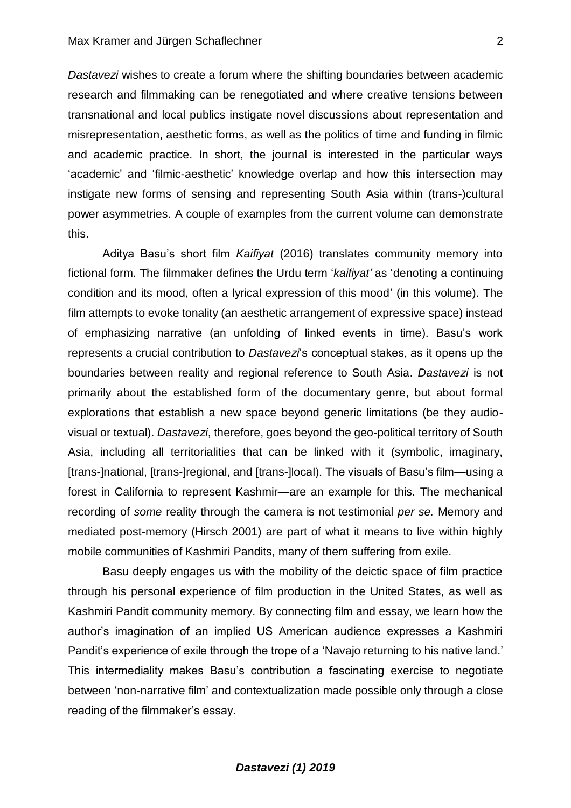*Dastavezi* wishes to create a forum where the shifting boundaries between academic research and filmmaking can be renegotiated and where creative tensions between transnational and local publics instigate novel discussions about representation and misrepresentation, aesthetic forms, as well as the politics of time and funding in filmic and academic practice. In short, the journal is interested in the particular ways 'academic' and 'filmic-aesthetic' knowledge overlap and how this intersection may instigate new forms of sensing and representing South Asia within (trans-)cultural power asymmetries. A couple of examples from the current volume can demonstrate this.

Aditya Basu's short film *Kaifiyat* (2016) translates community memory into fictional form. The filmmaker defines the Urdu term '*kaifiyat'* as 'denoting a continuing condition and its mood, often a lyrical expression of this mood' (in this volume). The film attempts to evoke tonality (an aesthetic arrangement of expressive space) instead of emphasizing narrative (an unfolding of linked events in time). Basu's work represents a crucial contribution to *Dastavezi*'s conceptual stakes, as it opens up the boundaries between reality and regional reference to South Asia. *Dastavezi* is not primarily about the established form of the documentary genre, but about formal explorations that establish a new space beyond generic limitations (be they audiovisual or textual). *Dastavezi*, therefore, goes beyond the geo-political territory of South Asia, including all territorialities that can be linked with it (symbolic, imaginary, [trans-]national, [trans-]regional, and [trans-]local). The visuals of Basu's film—using a forest in California to represent Kashmir—are an example for this. The mechanical recording of *some* reality through the camera is not testimonial *per se.* Memory and mediated post-memory (Hirsch 2001) are part of what it means to live within highly mobile communities of Kashmiri Pandits, many of them suffering from exile.

Basu deeply engages us with the mobility of the deictic space of film practice through his personal experience of film production in the United States, as well as Kashmiri Pandit community memory. By connecting film and essay, we learn how the author's imagination of an implied US American audience expresses a Kashmiri Pandit's experience of exile through the trope of a 'Navajo returning to his native land.' This intermediality makes Basu's contribution a fascinating exercise to negotiate between 'non-narrative film' and contextualization made possible only through a close reading of the filmmaker's essay.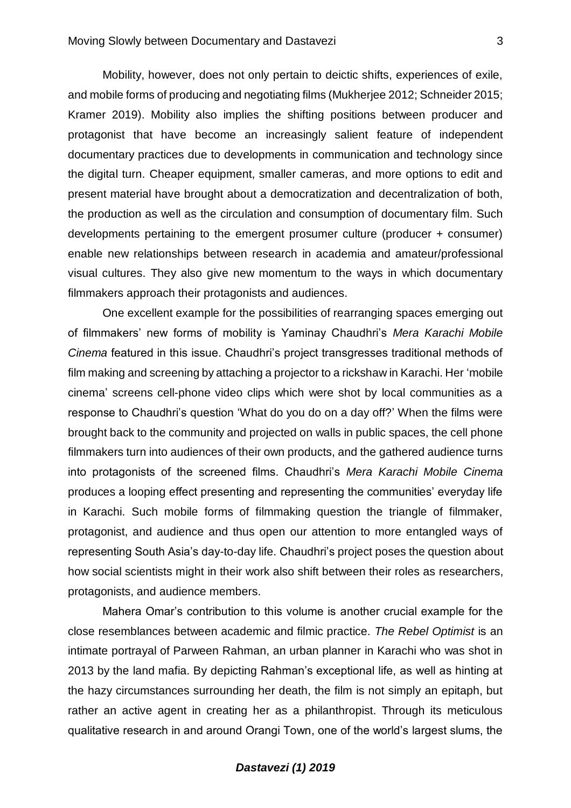Mobility, however, does not only pertain to deictic shifts, experiences of exile, and mobile forms of producing and negotiating films (Mukherjee 2012; Schneider 2015; Kramer 2019). Mobility also implies the shifting positions between producer and protagonist that have become an increasingly salient feature of independent documentary practices due to developments in communication and technology since the digital turn. Cheaper equipment, smaller cameras, and more options to edit and present material have brought about a democratization and decentralization of both, the production as well as the circulation and consumption of documentary film. Such developments pertaining to the emergent prosumer culture (producer + consumer) enable new relationships between research in academia and amateur/professional visual cultures. They also give new momentum to the ways in which documentary filmmakers approach their protagonists and audiences.

One excellent example for the possibilities of rearranging spaces emerging out of filmmakers' new forms of mobility is Yaminay Chaudhri's *Mera Karachi Mobile Cinema* featured in this issue. Chaudhri's project transgresses traditional methods of film making and screening by attaching a projector to a rickshaw in Karachi. Her 'mobile cinema' screens cell-phone video clips which were shot by local communities as a response to Chaudhri's question 'What do you do on a day off?' When the films were brought back to the community and projected on walls in public spaces, the cell phone filmmakers turn into audiences of their own products, and the gathered audience turns into protagonists of the screened films. Chaudhri's *Mera Karachi Mobile Cinema*  produces a looping effect presenting and representing the communities' everyday life in Karachi. Such mobile forms of filmmaking question the triangle of filmmaker, protagonist, and audience and thus open our attention to more entangled ways of representing South Asia's day-to-day life. Chaudhri's project poses the question about how social scientists might in their work also shift between their roles as researchers, protagonists, and audience members.

Mahera Omar's contribution to this volume is another crucial example for the close resemblances between academic and filmic practice. *The Rebel Optimist* is an intimate portrayal of Parween Rahman, an urban planner in Karachi who was shot in 2013 by the land mafia. By depicting Rahman's exceptional life, as well as hinting at the hazy circumstances surrounding her death, the film is not simply an epitaph, but rather an active agent in creating her as a philanthropist. Through its meticulous qualitative research in and around Orangi Town, one of the world's largest slums, the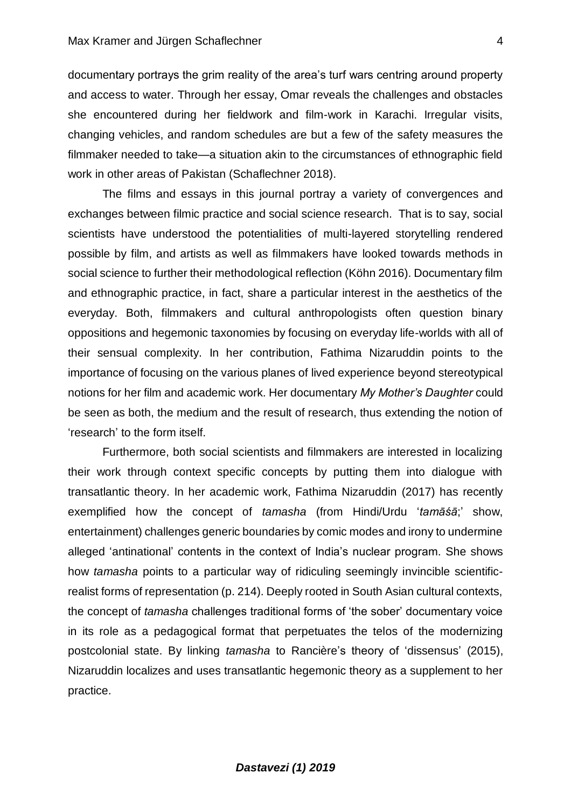documentary portrays the grim reality of the area's turf wars centring around property and access to water. Through her essay, Omar reveals the challenges and obstacles she encountered during her fieldwork and film-work in Karachi. Irregular visits, changing vehicles, and random schedules are but a few of the safety measures the filmmaker needed to take—a situation akin to the circumstances of ethnographic field work in other areas of Pakistan (Schaflechner 2018).

The films and essays in this journal portray a variety of convergences and exchanges between filmic practice and social science research. That is to say, social scientists have understood the potentialities of multi-layered storytelling rendered possible by film, and artists as well as filmmakers have looked towards methods in social science to further their methodological reflection (Köhn 2016). Documentary film and ethnographic practice, in fact, share a particular interest in the aesthetics of the everyday. Both, filmmakers and cultural anthropologists often question binary oppositions and hegemonic taxonomies by focusing on everyday life-worlds with all of their sensual complexity. In her contribution, Fathima Nizaruddin points to the importance of focusing on the various planes of lived experience beyond stereotypical notions for her film and academic work. Her documentary *My Mother's Daughter* could be seen as both, the medium and the result of research, thus extending the notion of 'research' to the form itself.

Furthermore, both social scientists and filmmakers are interested in localizing their work through context specific concepts by putting them into dialogue with transatlantic theory. In her academic work, Fathima Nizaruddin (2017) has recently exemplified how the concept of *tamasha* (from Hindi/Urdu '*tamāśā*;' show, entertainment) challenges generic boundaries by comic modes and irony to undermine alleged 'antinational' contents in the context of India's nuclear program. She shows how *tamasha* points to a particular way of ridiculing seemingly invincible scientificrealist forms of representation (p. 214). Deeply rooted in South Asian cultural contexts, the concept of *tamasha* challenges traditional forms of 'the sober' documentary voice in its role as a pedagogical format that perpetuates the telos of the modernizing postcolonial state. By linking *tamasha* to Rancière's theory of 'dissensus' (2015), Nizaruddin localizes and uses transatlantic hegemonic theory as a supplement to her practice.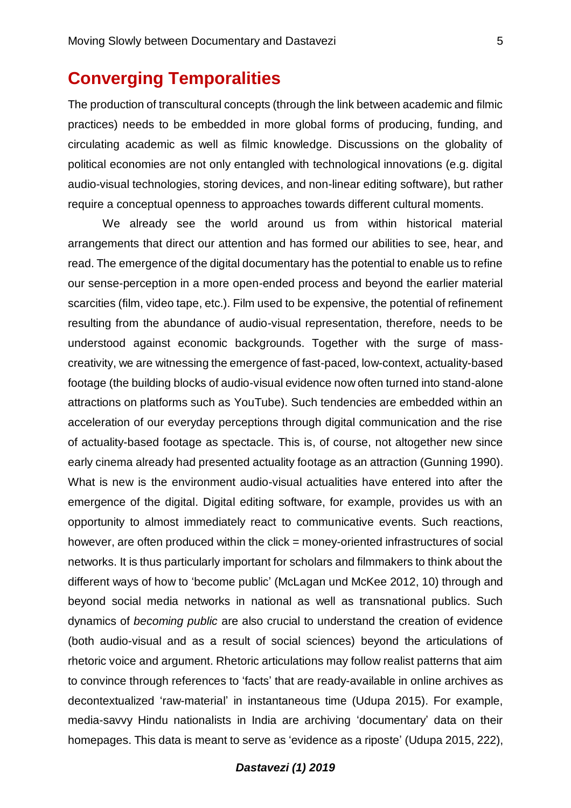## **Converging Temporalities**

The production of transcultural concepts (through the link between academic and filmic practices) needs to be embedded in more global forms of producing, funding, and circulating academic as well as filmic knowledge. Discussions on the globality of political economies are not only entangled with technological innovations (e.g. digital audio-visual technologies, storing devices, and non-linear editing software), but rather require a conceptual openness to approaches towards different cultural moments.

We already see the world around us from within historical material arrangements that direct our attention and has formed our abilities to see, hear, and read. The emergence of the digital documentary has the potential to enable us to refine our sense-perception in a more open-ended process and beyond the earlier material scarcities (film, video tape, etc.). Film used to be expensive, the potential of refinement resulting from the abundance of audio-visual representation, therefore, needs to be understood against economic backgrounds. Together with the surge of masscreativity, we are witnessing the emergence of fast-paced, low-context, actuality-based footage (the building blocks of audio-visual evidence now often turned into stand-alone attractions on platforms such as YouTube). Such tendencies are embedded within an acceleration of our everyday perceptions through digital communication and the rise of actuality-based footage as spectacle. This is, of course, not altogether new since early cinema already had presented actuality footage as an attraction (Gunning 1990). What is new is the environment audio-visual actualities have entered into after the emergence of the digital. Digital editing software, for example, provides us with an opportunity to almost immediately react to communicative events. Such reactions, however, are often produced within the click = money-oriented infrastructures of social networks. It is thus particularly important for scholars and filmmakers to think about the different ways of how to 'become public' (McLagan und McKee 2012, 10) through and beyond social media networks in national as well as transnational publics. Such dynamics of *becoming public* are also crucial to understand the creation of evidence (both audio-visual and as a result of social sciences) beyond the articulations of rhetoric voice and argument. Rhetoric articulations may follow realist patterns that aim to convince through references to 'facts' that are ready-available in online archives as decontextualized 'raw-material' in instantaneous time (Udupa 2015). For example, media-savvy Hindu nationalists in India are archiving 'documentary' data on their homepages. This data is meant to serve as 'evidence as a riposte' (Udupa 2015, 222),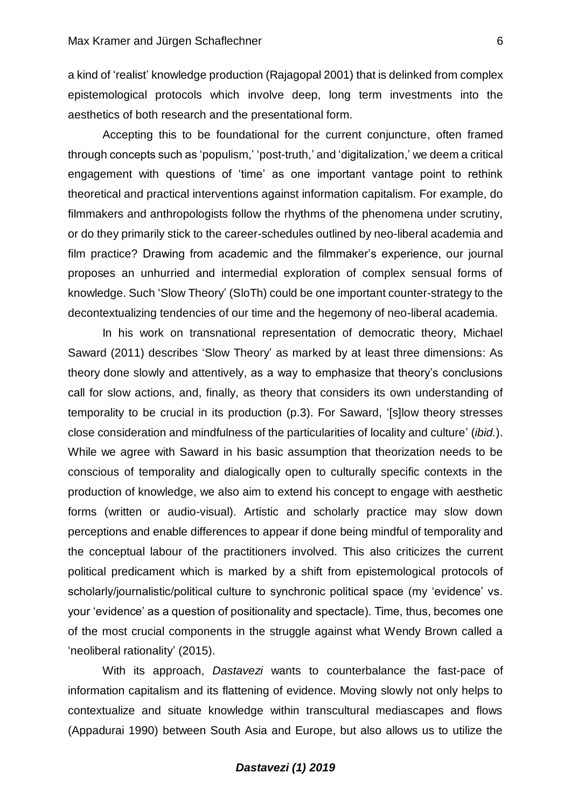a kind of 'realist' knowledge production (Rajagopal 2001) that is delinked from complex epistemological protocols which involve deep, long term investments into the aesthetics of both research and the presentational form.

Accepting this to be foundational for the current conjuncture, often framed through concepts such as 'populism,' 'post-truth,' and 'digitalization,' we deem a critical engagement with questions of 'time' as one important vantage point to rethink theoretical and practical interventions against information capitalism. For example, do filmmakers and anthropologists follow the rhythms of the phenomena under scrutiny, or do they primarily stick to the career-schedules outlined by neo-liberal academia and film practice? Drawing from academic and the filmmaker's experience, our journal proposes an unhurried and intermedial exploration of complex sensual forms of knowledge. Such 'Slow Theory' (SloTh) could be one important counter-strategy to the decontextualizing tendencies of our time and the hegemony of neo-liberal academia.

In his work on transnational representation of democratic theory, Michael Saward (2011) describes 'Slow Theory' as marked by at least three dimensions: As theory done slowly and attentively, as a way to emphasize that theory's conclusions call for slow actions, and, finally, as theory that considers its own understanding of temporality to be crucial in its production (p.3). For Saward, '[s]low theory stresses close consideration and mindfulness of the particularities of locality and culture' (*ibid.*). While we agree with Saward in his basic assumption that theorization needs to be conscious of temporality and dialogically open to culturally specific contexts in the production of knowledge, we also aim to extend his concept to engage with aesthetic forms (written or audio-visual). Artistic and scholarly practice may slow down perceptions and enable differences to appear if done being mindful of temporality and the conceptual labour of the practitioners involved. This also criticizes the current political predicament which is marked by a shift from epistemological protocols of scholarly/journalistic/political culture to synchronic political space (my 'evidence' vs. your 'evidence' as a question of positionality and spectacle). Time, thus, becomes one of the most crucial components in the struggle against what Wendy Brown called a 'neoliberal rationality' (2015).

With its approach, *Dastavezi* wants to counterbalance the fast-pace of information capitalism and its flattening of evidence. Moving slowly not only helps to contextualize and situate knowledge within transcultural mediascapes and flows (Appadurai 1990) between South Asia and Europe, but also allows us to utilize the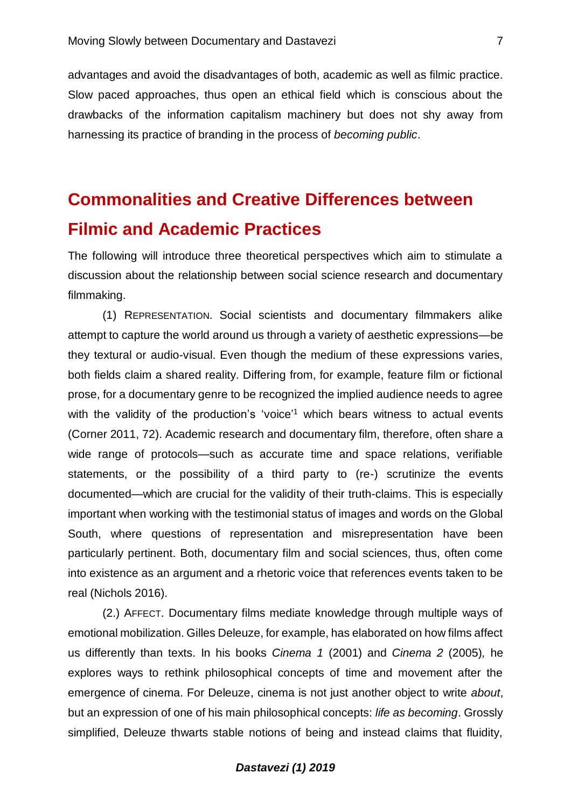advantages and avoid the disadvantages of both, academic as well as filmic practice. Slow paced approaches, thus open an ethical field which is conscious about the drawbacks of the information capitalism machinery but does not shy away from harnessing its practice of branding in the process of *becoming public*.

# **Commonalities and Creative Differences between Filmic and Academic Practices**

The following will introduce three theoretical perspectives which aim to stimulate a discussion about the relationship between social science research and documentary filmmaking.

(1) REPRESENTATION. Social scientists and documentary filmmakers alike attempt to capture the world around us through a variety of aesthetic expressions—be they textural or audio-visual. Even though the medium of these expressions varies, both fields claim a shared reality. Differing from, for example, feature film or fictional prose, for a documentary genre to be recognized the implied audience needs to agree with the validity of the production's 'voice'<sup>1</sup> which bears witness to actual events (Corner 2011, 72). Academic research and documentary film, therefore, often share a wide range of protocols—such as accurate time and space relations, verifiable statements, or the possibility of a third party to (re-) scrutinize the events documented—which are crucial for the validity of their truth-claims. This is especially important when working with the testimonial status of images and words on the Global South, where questions of representation and misrepresentation have been particularly pertinent. Both, documentary film and social sciences, thus, often come into existence as an argument and a rhetoric voice that references events taken to be real (Nichols 2016).

(2.) AFFECT. Documentary films mediate knowledge through multiple ways of emotional mobilization. Gilles Deleuze, for example, has elaborated on how films affect us differently than texts. In his books *Cinema 1* (2001) and *Cinema 2* (2005)*,* he explores ways to rethink philosophical concepts of time and movement after the emergence of cinema. For Deleuze, cinema is not just another object to write *about*, but an expression of one of his main philosophical concepts: *life as becoming*. Grossly simplified, Deleuze thwarts stable notions of being and instead claims that fluidity,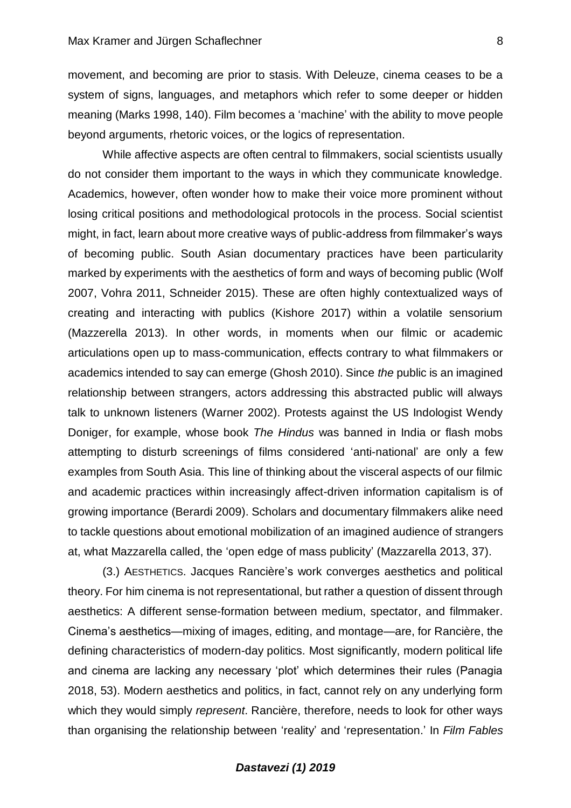movement, and becoming are prior to stasis. With Deleuze, cinema ceases to be a system of signs, languages, and metaphors which refer to some deeper or hidden meaning (Marks 1998, 140). Film becomes a 'machine' with the ability to move people beyond arguments, rhetoric voices, or the logics of representation.

While affective aspects are often central to filmmakers, social scientists usually do not consider them important to the ways in which they communicate knowledge. Academics, however, often wonder how to make their voice more prominent without losing critical positions and methodological protocols in the process. Social scientist might, in fact, learn about more creative ways of public-address from filmmaker's ways of becoming public. South Asian documentary practices have been particularity marked by experiments with the aesthetics of form and ways of becoming public (Wolf 2007, Vohra 2011, Schneider 2015). These are often highly contextualized ways of creating and interacting with publics (Kishore 2017) within a volatile sensorium (Mazzerella 2013). In other words, in moments when our filmic or academic articulations open up to mass-communication, effects contrary to what filmmakers or academics intended to say can emerge (Ghosh 2010). Since *the* public is an imagined relationship between strangers, actors addressing this abstracted public will always talk to unknown listeners (Warner 2002). Protests against the US Indologist Wendy Doniger, for example, whose book *The Hindus* was banned in India or flash mobs attempting to disturb screenings of films considered 'anti-national' are only a few examples from South Asia. This line of thinking about the visceral aspects of our filmic and academic practices within increasingly affect-driven information capitalism is of growing importance (Berardi 2009). Scholars and documentary filmmakers alike need to tackle questions about emotional mobilization of an imagined audience of strangers at, what Mazzarella called, the 'open edge of mass publicity' (Mazzarella 2013, 37).

(3.) AESTHETICS. Jacques Rancière's work converges aesthetics and political theory. For him cinema is not representational, but rather a question of dissent through aesthetics: A different sense-formation between medium, spectator, and filmmaker. Cinema's aesthetics—mixing of images, editing, and montage—are, for Rancière, the defining characteristics of modern-day politics. Most significantly, modern political life and cinema are lacking any necessary 'plot' which determines their rules (Panagia 2018, 53). Modern aesthetics and politics, in fact, cannot rely on any underlying form which they would simply *represent*. Rancière, therefore, needs to look for other ways than organising the relationship between 'reality' and 'representation.' In *Film Fables*

#### 8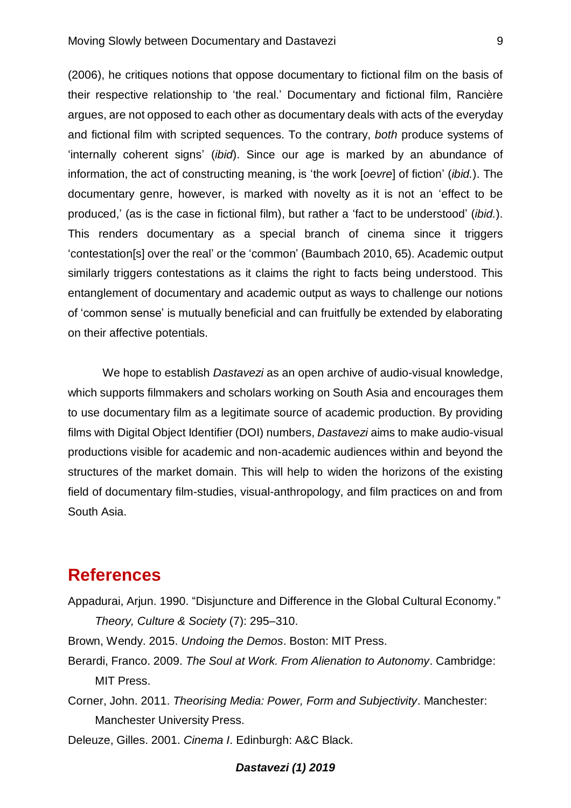(2006), he critiques notions that oppose documentary to fictional film on the basis of their respective relationship to 'the real.' Documentary and fictional film, Rancière argues, are not opposed to each other as documentary deals with acts of the everyday and fictional film with scripted sequences. To the contrary, *both* produce systems of 'internally coherent signs' (*ibid*). Since our age is marked by an abundance of information, the act of constructing meaning, is 'the work [*oevre*] of fiction' (*ibid.*). The documentary genre, however, is marked with novelty as it is not an 'effect to be produced,' (as is the case in fictional film), but rather a 'fact to be understood' (*ibid.*). This renders documentary as a special branch of cinema since it triggers 'contestation[s] over the real' or the 'common' (Baumbach 2010, 65). Academic output similarly triggers contestations as it claims the right to facts being understood. This entanglement of documentary and academic output as ways to challenge our notions of 'common sense' is mutually beneficial and can fruitfully be extended by elaborating on their affective potentials.

We hope to establish *Dastavezi* as an open archive of audio-visual knowledge, which supports filmmakers and scholars working on South Asia and encourages them to use documentary film as a legitimate source of academic production. By providing films with Digital Object Identifier (DOI) numbers, *Dastavezi* aims to make audio-visual productions visible for academic and non-academic audiences within and beyond the structures of the market domain. This will help to widen the horizons of the existing field of documentary film-studies, visual-anthropology, and film practices on and from South Asia.

### **References**

Appadurai, Arjun. 1990. "Disjuncture and Difference in the Global Cultural Economy."

*Theory, Culture & Society* (7): 295–310.

Brown, Wendy. 2015. *Undoing the Demos*. Boston: MIT Press.

Berardi, Franco. 2009. *The Soul at Work. From Alienation to Autonomy*. Cambridge: MIT Press.

Corner, John. 2011. *Theorising Media: Power, Form and Subjectivity*. Manchester: Manchester University Press.

Deleuze, Gilles. 2001. *Cinema I*. Edinburgh: A&C Black.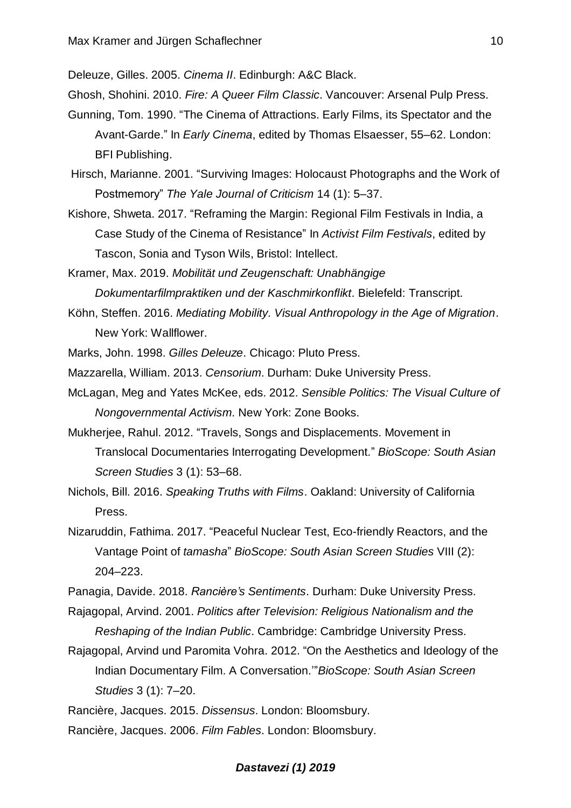Deleuze, Gilles. 2005. *Cinema II*. Edinburgh: A&C Black.

- Ghosh, Shohini. 2010. *Fire: A Queer Film Classic*. Vancouver: Arsenal Pulp Press.
- Gunning, Tom. 1990. "The Cinema of Attractions. Early Films, its Spectator and the Avant-Garde." In *Early Cinema*, edited by Thomas Elsaesser, 55–62. London: BFI Publishing.
- Hirsch, Marianne. 2001. "Surviving Images: Holocaust Photographs and the Work of Postmemory" *The Yale Journal of Criticism* 14 (1): 5–37.
- Kishore, Shweta. 2017. "Reframing the Margin: Regional Film Festivals in India, a Case Study of the Cinema of Resistance" In *Activist Film Festivals*, edited by Tascon, Sonia and Tyson Wils, Bristol: Intellect.
- Kramer, Max. 2019. *Mobilität und Zeugenschaft: Unabhängige Dokumentarfilmpraktiken und der Kaschmirkonflikt*. Bielefeld: Transcript.
- Köhn, Steffen. 2016. *Mediating Mobility. Visual Anthropology in the Age of Migration*. New York: Wallflower.
- Marks, John. 1998. *Gilles Deleuze*. Chicago: Pluto Press.
- Mazzarella, William. 2013. *Censorium*. Durham: Duke University Press.
- McLagan, Meg and Yates McKee, eds. 2012. *Sensible Politics: The Visual Culture of Nongovernmental Activism*. New York: Zone Books.
- Mukherjee, Rahul. 2012. "Travels, Songs and Displacements. Movement in Translocal Documentaries Interrogating Development." *BioScope: South Asian Screen Studies* 3 (1): 53–68.
- Nichols, Bill. 2016. *Speaking Truths with Films*. Oakland: University of California Press.
- Nizaruddin, Fathima. 2017. "Peaceful Nuclear Test, Eco-friendly Reactors, and the Vantage Point of *tamasha*" *BioScope: South Asian Screen Studies* VIII (2): 204–223.
- Panagia, Davide. 2018. *Rancière's Sentiments*. Durham: Duke University Press.
- Rajagopal, Arvind. 2001. *Politics after Television: Religious Nationalism and the Reshaping of the Indian Public*. Cambridge: Cambridge University Press.
- Rajagopal, Arvind und Paromita Vohra. 2012. "On the Aesthetics and Ideology of the Indian Documentary Film. A Conversation.'"*BioScope: South Asian Screen Studies* 3 (1): 7–20.
- Rancière, Jacques. 2015. *Dissensus*. London: Bloomsbury.
- Rancière, Jacques. 2006. *Film Fables*. London: Bloomsbury.